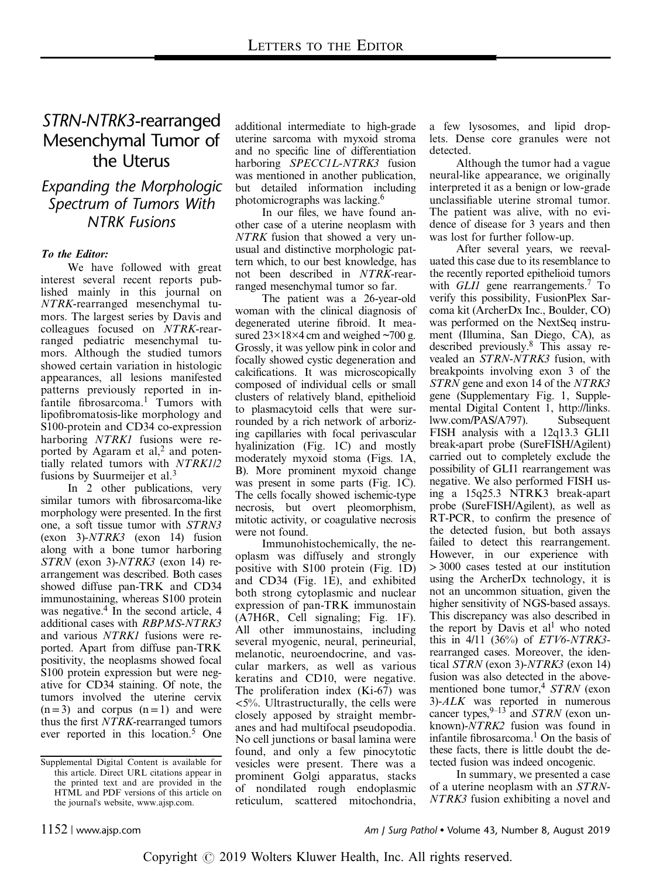# STRN-NTRK3-rearranged Mesenchymal Tumor of the Uterus

### Expanding the Morphologic Spectrum of Tumors With NTRK Fusions

### To the Editor:

We have followed with great interest several recent reports published mainly in this journal on NTRK-rearranged mesenchymal tumors. The largest series by Davis and colleagues focused on NTRK-rearranged pediatric mesenchymal tumors. Although the studied tumors showed certain variation in histologic appearances, all lesions manifested patterns previously reported in infantile fibrosarcoma.<sup>1</sup> Tumors with lipofibromatosis-like morphology and S100-protein and CD34 co-expression harboring NTRK1 fusions were reported by Agaram et al,<sup>2</sup> and potentially related tumors with NTRK1/2 fusions by Suurmeijer et al. $3$ 

In 2 other publications, very similar tumors with fibrosarcoma-like morphology were presented. In the first one, a soft tissue tumor with STRN3 (exon 3)-NTRK3 (exon 14) fusion along with a bone tumor harboring STRN (exon 3)-NTRK3 (exon 14) rearrangement was described. Both cases showed diffuse pan-TRK and CD34 immunostaining, whereas S100 protein was negative.<sup>4</sup> In the second article, 4 additional cases with RBPMS-NTRK3 and various NTRK1 fusions were reported. Apart from diffuse pan-TRK positivity, the neoplasms showed focal S100 protein expression but were negative for CD34 staining. Of note, the tumors involved the uterine cervix  $(n=3)$  and corpus  $(n=1)$  and were thus the first NTRK-rearranged tumors ever reported in this location.<sup>5</sup> One additional intermediate to high-grade uterine sarcoma with myxoid stroma and no specific line of differentiation harboring SPECCIL-NTRK3 fusion was mentioned in another publication, but detailed information including photomicrographs was lacking.6

In our files, we have found another case of a uterine neoplasm with NTRK fusion that showed a very unusual and distinctive morphologic pattern which, to our best knowledge, has not been described in NTRK-rearranged mesenchymal tumor so far.

The patient was a 26-year-old woman with the clinical diagnosis of degenerated uterine fibroid. It measured  $23\times18\times4$  cm and weighed  $\sim$ 700 g. Grossly, it was yellow pink in color and focally showed cystic degeneration and calcifications. It was microscopically composed of individual cells or small clusters of relatively bland, epithelioid to plasmacytoid cells that were surrounded by a rich network of arborizing capillaries with focal perivascular hyalinization (Fig. 1C) and mostly moderately myxoid stoma (Figs. 1A, B). More prominent myxoid change was present in some parts (Fig. 1C). The cells focally showed ischemic-type necrosis, but overt pleomorphism, mitotic activity, or coagulative necrosis were not found.

Immunohistochemically, the neoplasm was diffusely and strongly positive with S100 protein (Fig. 1D) and CD34 (Fig. 1E), and exhibited both strong cytoplasmic and nuclear expression of pan-TRK immunostain (A7H6R, Cell signaling; Fig. 1F). All other immunostains, including several myogenic, neural, perineurial, melanotic, neuroendocrine, and vascular markers, as well as various keratins and CD10, were negative. The proliferation index (Ki-67) was <5%. Ultrastructurally, the cells were closely apposed by straight membranes and had multifocal pseudopodia. No cell junctions or basal lamina were found, and only a few pinocytotic vesicles were present. There was a prominent Golgi apparatus, stacks of nondilated rough endoplasmic reticulum, scattered mitochondria,

a few lysosomes, and lipid droplets. Dense core granules were not detected.

Although the tumor had a vague neural-like appearance, we originally interpreted it as a benign or low-grade unclassifiable uterine stromal tumor. The patient was alive, with no evidence of disease for 3 years and then was lost for further follow-up.

After several years, we reevaluated this case due to its resemblance to the recently reported epithelioid tumors with *GLI1* gene rearrangements.<sup>7</sup> To verify this possibility, FusionPlex Sarcoma kit (ArcherDx Inc., Boulder, CO) was performed on the NextSeq instrument (Illumina, San Diego, CA), as described previously.8 This assay revealed an STRN-NTRK3 fusion, with breakpoints involving exon 3 of the STRN gene and exon 14 of the NTRK3 gene (Supplementary Fig. 1, Supplemental Digital Content 1, [http://links.](http://links.lww.com/PAS/A797) [lww.com/PAS/A797\)](http://links.lww.com/PAS/A797). Subsequent FISH analysis with a 12q13.3 GLI1 break-apart probe (SureFISH/Agilent) carried out to completely exclude the possibility of GLI1 rearrangement was negative. We also performed FISH using a 15q25.3 NTRK3 break-apart probe (SureFISH/Agilent), as well as RT-PCR, to confirm the presence of the detected fusion, but both assays failed to detect this rearrangement. However, in our experience with >3000 cases tested at our institution using the ArcherDx technology, it is not an uncommon situation, given the higher sensitivity of NGS-based assays. This discrepancy was also described in the report by Davis et  $al<sup>1</sup>$  who noted this in  $4/11$  (36%) of *ETV*6-*NTRK3*rearranged cases. Moreover, the identical STRN (exon 3)-NTRK3 (exon 14) fusion was also detected in the abovementioned bone tumor,<sup>4</sup> STRN (exon 3)-ALK was reported in numerous cancer types,  $9-13$  and *STRN* (exon unknown)-NTRK2 fusion was found in infantile fibrosarcoma.1 On the basis of these facts, there is little doubt the detected fusion was indeed oncogenic.

In summary, we presented a case of a uterine neoplasm with an STRN-NTRK3 fusion exhibiting a novel and

Supplemental Digital Content is available for this article. Direct URL citations appear in the printed text and are provided in the HTML and PDF versions of this article on the journal's website, [www.ajsp.com](http://www.ajsp.com).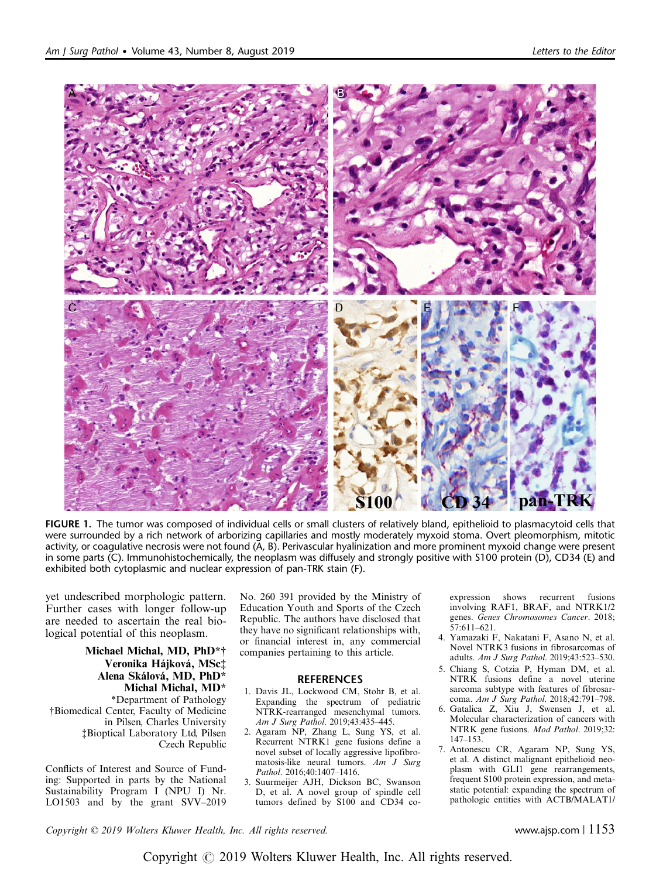

FIGURE 1. The tumor was composed of individual cells or small clusters of relatively bland, epithelioid to plasmacytoid cells that were surrounded by a rich network of arborizing capillaries and mostly moderately myxoid stoma. Overt pleomorphism, mitotic activity, or coagulative necrosis were not found (A, B). Perivascular hyalinization and more prominent myxoid change were present in some parts (C). Immunohistochemically, the neoplasm was diffusely and strongly positive with S100 protein (D), CD34 (E) and exhibited both cytoplasmic and nuclear expression of pan-TRK stain (F).

yet undescribed morphologic pattern. Further cases with longer follow-up are needed to ascertain the real biological potential of this neoplasm.

Michael Michal, MD, PhD\*† Veronika Hájková, MSc‡ Alena Skálová, MD, PhD\* Michal Michal, MD\* \*Department of Pathology †Biomedical Center, Faculty of Medicine in Pilsen, Charles University ‡Bioptical Laboratory Ltd, Pilsen Czech Republic

Conflicts of Interest and Source of Funding: Supported in parts by the National Sustainability Program I (NPU I) Nr. LO1503 and by the grant SVV–2019 No. 260 391 provided by the Ministry of Education Youth and Sports of the Czech Republic. The authors have disclosed that they have no significant relationships with, or financial interest in, any commercial companies pertaining to this article.

#### **REFERENCES**

- 1. Davis JL, Lockwood CM, Stohr B, et al. Expanding the spectrum of pediatric NTRK-rearranged mesenchymal tumors. Am J Surg Pathol. 2019;43:435–445.
- 2. Agaram NP, Zhang L, Sung YS, et al. Recurrent NTRK1 gene fusions define a novel subset of locally aggressive lipofibromatosis-like neural tumors. Am J Surg Pathol. 2016;40:1407–1416.
- 3. Suurmeijer AJH, Dickson BC, Swanson D, et al. A novel group of spindle cell tumors defined by S100 and CD34 co-

expression shows recurrent fusions involving RAF1, BRAF, and NTRK1/2 genes. Genes Chromosomes Cancer. 2018; 57:611–621.

- 4. Yamazaki F, Nakatani F, Asano N, et al. Novel NTRK3 fusions in fibrosarcomas of adults. Am J Surg Pathol. 2019;43:523–530.
- 5. Chiang S, Cotzia P, Hyman DM, et al. NTRK fusions define a novel uterine sarcoma subtype with features of fibrosarcoma. Am J Surg Pathol. 2018;42:791–798.
- 6. Gatalica Z, Xiu J, Swensen J, et al. Molecular characterization of cancers with NTRK gene fusions. Mod Pathol. 2019;32: 147–153.
- 7. Antonescu CR, Agaram NP, Sung YS, et al. A distinct malignant epithelioid neoplasm with GLI1 gene rearrangements, frequent S100 protein expression, and metastatic potential: expanding the spectrum of pathologic entities with ACTB/MALAT1/

Copyright © 2019 Wolters Kluwer Health, Inc. All rights reserved. www.ajsp.com | 1153

Copyright © 2019 Wolters Kluwer Health, Inc. All rights reserved.